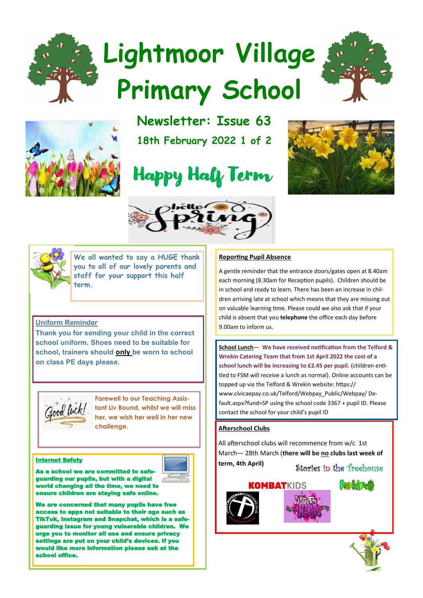# **Lightmoor Village Primary School**





**Newsletter: Issue 63 18th February 2022 1 of 2**









**We all wanted to say a HUGE thank you to all of our lovely parents and staff for your support this half term.**

#### **Uniform Reminder**

**Thank you for sending your child in the correct school uniform. Shoes need to be suitable for school, trainers should only be worn to school on class PE days please.**



**Farewell to our Teaching Assistant Liv Bound, whilst we will miss her, we wish her well in her new challenge.** 

As a school we are comguarding our pupils, but with a digital orld changing all the time, we need <mark>t</mark>o **ure children are staying safe online.** 



e are concerned that many pupils have fre s to apps not suitable to their a TikTok, Instagram and Snapchat, which is a guarding issue for young vulnerable ch e you to monitor all use and ensure p settings are put on your child's devices. If you would like more information please ask school office.

#### **Reporting Pupil Absence**

A gentle reminder that the entrance doors/gates open at 8.40am each morning (8.30am for Reception pupils). Children should be in school and ready to learn. There has been an increase in children arriving late at school which means that they are missing out on valuable learning time. Please could we also ask that if your child is absent that you **telephone** the office each day before 9.00am to inform us.

**School Lunch**— **We have received notification from the Telford & Wrekin Catering Team that from 1st April 2022 the cost of a**  school lunch will be increasing to £2.45 per pupil. (children entitled to FSM will receive a lunch as normal). Online accounts can be topped up via the Telford & Wrekin website: https:// www.civicaepay.co.uk/Telford/Webpay\_Public/Webpay/ Default.aspx?fund=SP using the school code 3367 + pupil ID. Please contact the school for your child's pupil ID

#### **Afterschool Clubs**

All afterschool clubs will recommence from w/c 1st March— 28th March (**there will be no clubs last week of the safety that is a set of the safety internet Safety internet Safety internet Safety** 

Stories in the Treehouse